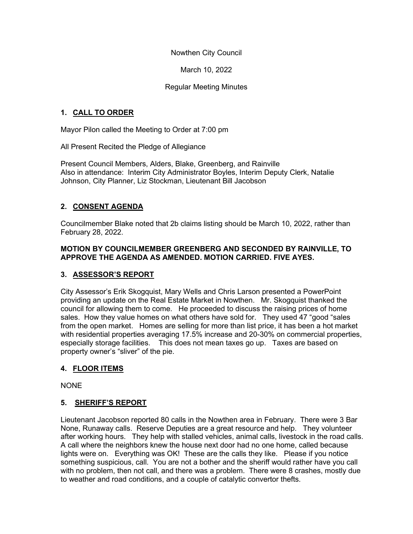Nowthen City Council

March 10, 2022

## Regular Meeting Minutes

## 1. CALL TO ORDER

Mayor Pilon called the Meeting to Order at 7:00 pm

All Present Recited the Pledge of Allegiance

Present Council Members, Alders, Blake, Greenberg, and Rainville Also in attendance: Interim City Administrator Boyles, Interim Deputy Clerk, Natalie Johnson, City Planner, Liz Stockman, Lieutenant Bill Jacobson

# 2. CONSENT AGENDA

Councilmember Blake noted that 2b claims listing should be March 10, 2022, rather than February 28, 2022.

### MOTION BY COUNCILMEMBER GREENBERG AND SECONDED BY RAINVILLE, TO APPROVE THE AGENDA AS AMENDED. MOTION CARRIED. FIVE AYES.

## 3. ASSESSOR'S REPORT

City Assessor's Erik Skogquist, Mary Wells and Chris Larson presented a PowerPoint providing an update on the Real Estate Market in Nowthen. Mr. Skogquist thanked the council for allowing them to come. He proceeded to discuss the raising prices of home sales. How they value homes on what others have sold for. They used 47 "good "sales from the open market. Homes are selling for more than list price, it has been a hot market with residential properties averaging 17.5% increase and 20-30% on commercial properties, especially storage facilities. This does not mean taxes go up. Taxes are based on property owner's "sliver" of the pie.

## 4. FLOOR ITEMS

NONE

## 5. SHERIFF'S REPORT

Lieutenant Jacobson reported 80 calls in the Nowthen area in February. There were 3 Bar None, Runaway calls. Reserve Deputies are a great resource and help. They volunteer after working hours. They help with stalled vehicles, animal calls, livestock in the road calls. A call where the neighbors knew the house next door had no one home, called because lights were on. Everything was OK! These are the calls they like. Please if you notice something suspicious, call. You are not a bother and the sheriff would rather have you call with no problem, then not call, and there was a problem. There were 8 crashes, mostly due to weather and road conditions, and a couple of catalytic convertor thefts.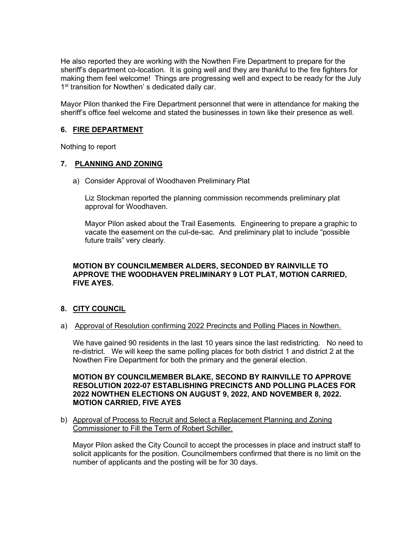He also reported they are working with the Nowthen Fire Department to prepare for the sheriff's department co-location. It is going well and they are thankful to the fire fighters for making them feel welcome! Things are progressing well and expect to be ready for the July 1<sup>st</sup> transition for Nowthen's dedicated daily car.

Mayor Pilon thanked the Fire Department personnel that were in attendance for making the sheriff's office feel welcome and stated the businesses in town like their presence as well.

### 6. FIRE DEPARTMENT

Nothing to report

### 7. PLANNING AND ZONING

a) Consider Approval of Woodhaven Preliminary Plat

Liz Stockman reported the planning commission recommends preliminary plat approval for Woodhaven.

Mayor Pilon asked about the Trail Easements. Engineering to prepare a graphic to vacate the easement on the cul-de-sac. And preliminary plat to include "possible future trails" very clearly.

### MOTION BY COUNCILMEMBER ALDERS, SECONDED BY RAINVILLE TO APPROVE THE WOODHAVEN PRELIMINARY 9 LOT PLAT, MOTION CARRIED, FIVE AYES.

### 8. CITY COUNCIL

a) Approval of Resolution confirming 2022 Precincts and Polling Places in Nowthen.

We have gained 90 residents in the last 10 years since the last redistricting. No need to re-district. We will keep the same polling places for both district 1 and district 2 at the Nowthen Fire Department for both the primary and the general election.

### MOTION BY COUNCILMEMBER BLAKE, SECOND BY RAINVILLE TO APPROVE RESOLUTION 2022-07 ESTABLISHING PRECINCTS AND POLLING PLACES FOR 2022 NOWTHEN ELECTIONS ON AUGUST 9, 2022, AND NOVEMBER 8, 2022. MOTION CARRIED, FIVE AYES

b) Approval of Process to Recruit and Select a Replacement Planning and Zoning Commissioner to Fill the Term of Robert Schiller.

Mayor Pilon asked the City Council to accept the processes in place and instruct staff to solicit applicants for the position. Councilmembers confirmed that there is no limit on the number of applicants and the posting will be for 30 days.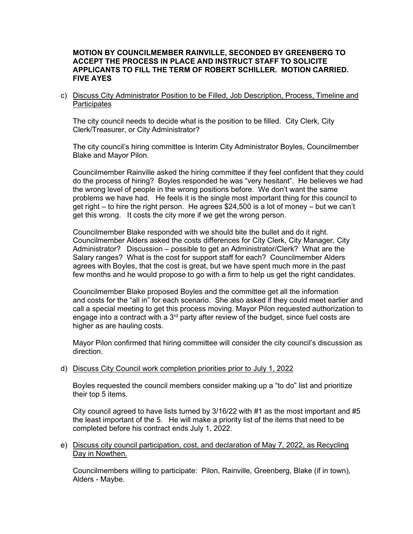#### MOTION BY COUNCILMEMBER RAINVILLE, SECONDED BY GREENBERG TO ACCEPT THE PROCESS IN PLACE AND INSTRUCT STAFF TO SOLICITE APPLICANTS TO FILL THE TERM OF ROBERT SCHILLER. MOTION CARRIED. FIVE AYES

c) Discuss City Administrator Position to be Filled, Job Description, Process, Timeline and **Participates** 

The city council needs to decide what is the position to be filled. City Clerk, City Clerk/Treasurer, or City Administrator?

The city council's hiring committee is Interim City Administrator Boyles, Councilmember Blake and Mayor Pilon.

Councilmember Rainville asked the hiring committee if they feel confident that they could do the process of hiring? Boyles responded he was "very hesitant". He believes we had the wrong level of people in the wrong positions before. We don't want the same problems we have had. He feels it is the single most important thing for this council to get right – to hire the right person. He agrees \$24,500 is a lot of money – but we can't get this wrong. It costs the city more if we get the wrong person.

 Councilmember Blake responded with we should bite the bullet and do it right. Councilmember Alders asked the costs differences for City Clerk, City Manager, City Administrator? Discussion – possible to get an Administrator/Clerk? What are the Salary ranges? What is the cost for support staff for each? Councilmember Alders agrees with Boyles, that the cost is great, but we have spent much more in the past few months and he would propose to go with a firm to help us get the right candidates.

 Councilmember Blake proposed Boyles and the committee get all the information and costs for the "all in" for each scenario. She also asked if they could meet earlier and call a special meeting to get this process moving. Mayor Pilon requested authorization to engage into a contract with a  $3<sup>rd</sup>$  party after review of the budget, since fuel costs are higher as are hauling costs.

Mayor Pilon confirmed that hiring committee will consider the city council's discussion as direction.

#### d) Discuss City Council work completion priorities prior to July 1, 2022

Boyles requested the council members consider making up a "to do" list and prioritize their top 5 items.

City council agreed to have lists turned by  $3/16/22$  with #1 as the most important and #5 the least important of the 5. He will make a priority list of the items that need to be completed before his contract ends July 1, 2022.

e) Discuss city council participation, cost, and declaration of May 7, 2022, as Recycling Day in Nowthen.

Councilmembers willing to participate: Pilon, Rainville, Greenberg, Blake (if in town), Alders - Maybe.